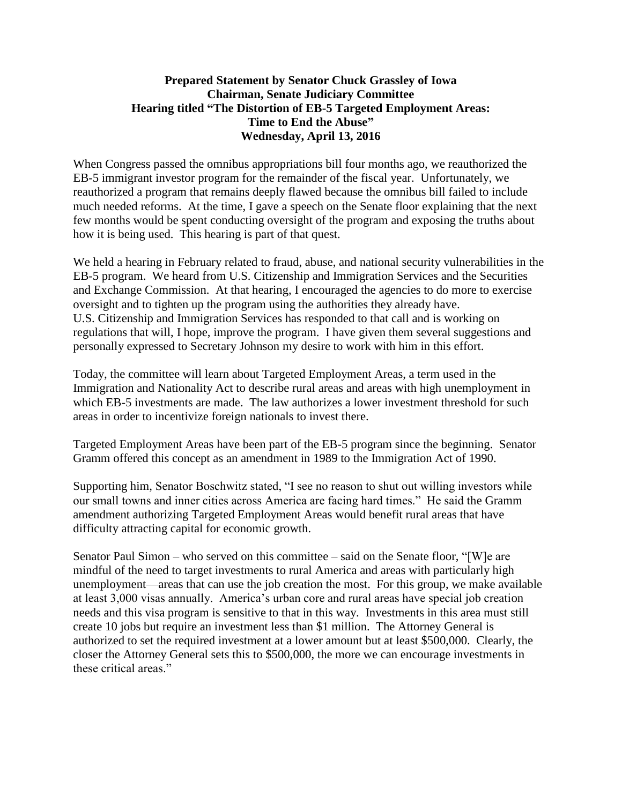## **Prepared Statement by Senator Chuck Grassley of Iowa Chairman, Senate Judiciary Committee Hearing titled "The Distortion of EB-5 Targeted Employment Areas: Time to End the Abuse" Wednesday, April 13, 2016**

When Congress passed the omnibus appropriations bill four months ago, we reauthorized the EB-5 immigrant investor program for the remainder of the fiscal year. Unfortunately, we reauthorized a program that remains deeply flawed because the omnibus bill failed to include much needed reforms. At the time, I gave a speech on the Senate floor explaining that the next few months would be spent conducting oversight of the program and exposing the truths about how it is being used. This hearing is part of that quest.

We held a hearing in February related to fraud, abuse, and national security vulnerabilities in the EB-5 program. We heard from U.S. Citizenship and Immigration Services and the Securities and Exchange Commission. At that hearing, I encouraged the agencies to do more to exercise oversight and to tighten up the program using the authorities they already have. U.S. Citizenship and Immigration Services has responded to that call and is working on regulations that will, I hope, improve the program. I have given them several suggestions and personally expressed to Secretary Johnson my desire to work with him in this effort.

Today, the committee will learn about Targeted Employment Areas, a term used in the Immigration and Nationality Act to describe rural areas and areas with high unemployment in which EB-5 investments are made. The law authorizes a lower investment threshold for such areas in order to incentivize foreign nationals to invest there.

Targeted Employment Areas have been part of the EB-5 program since the beginning. Senator Gramm offered this concept as an amendment in 1989 to the Immigration Act of 1990.

Supporting him, Senator Boschwitz stated, "I see no reason to shut out willing investors while our small towns and inner cities across America are facing hard times." He said the Gramm amendment authorizing Targeted Employment Areas would benefit rural areas that have difficulty attracting capital for economic growth.

Senator Paul Simon – who served on this committee – said on the Senate floor, "[W]e are mindful of the need to target investments to rural America and areas with particularly high unemployment—areas that can use the job creation the most. For this group, we make available at least 3,000 visas annually. America's urban core and rural areas have special job creation needs and this visa program is sensitive to that in this way. Investments in this area must still create 10 jobs but require an investment less than \$1 million. The Attorney General is authorized to set the required investment at a lower amount but at least \$500,000. Clearly, the closer the Attorney General sets this to \$500,000, the more we can encourage investments in these critical areas."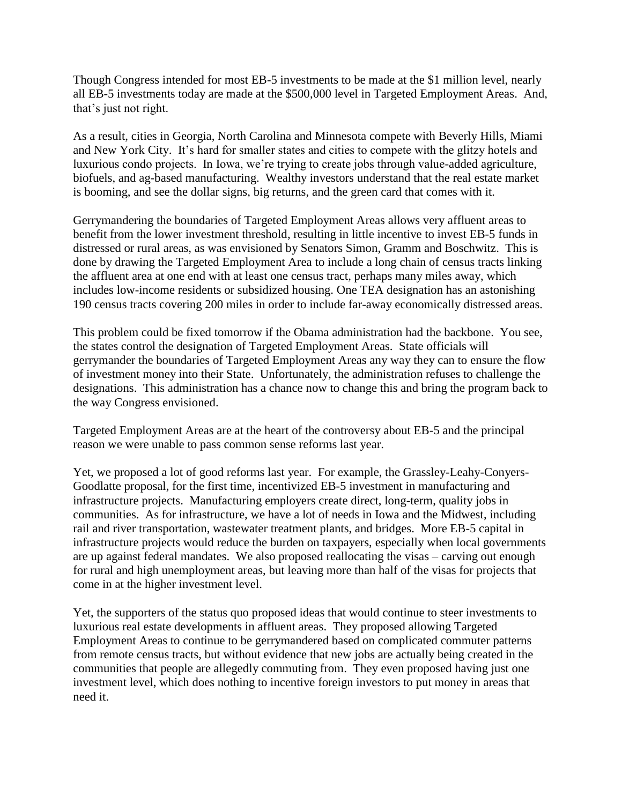Though Congress intended for most EB-5 investments to be made at the \$1 million level, nearly all EB-5 investments today are made at the \$500,000 level in Targeted Employment Areas. And, that's just not right.

As a result, cities in Georgia, North Carolina and Minnesota compete with Beverly Hills, Miami and New York City. It's hard for smaller states and cities to compete with the glitzy hotels and luxurious condo projects. In Iowa, we're trying to create jobs through value-added agriculture, biofuels, and ag-based manufacturing. Wealthy investors understand that the real estate market is booming, and see the dollar signs, big returns, and the green card that comes with it.

Gerrymandering the boundaries of Targeted Employment Areas allows very affluent areas to benefit from the lower investment threshold, resulting in little incentive to invest EB-5 funds in distressed or rural areas, as was envisioned by Senators Simon, Gramm and Boschwitz. This is done by drawing the Targeted Employment Area to include a long chain of census tracts linking the affluent area at one end with at least one census tract, perhaps many miles away, which includes low-income residents or subsidized housing. One TEA designation has an astonishing 190 census tracts covering 200 miles in order to include far-away economically distressed areas.

This problem could be fixed tomorrow if the Obama administration had the backbone. You see, the states control the designation of Targeted Employment Areas. State officials will gerrymander the boundaries of Targeted Employment Areas any way they can to ensure the flow of investment money into their State. Unfortunately, the administration refuses to challenge the designations. This administration has a chance now to change this and bring the program back to the way Congress envisioned.

Targeted Employment Areas are at the heart of the controversy about EB-5 and the principal reason we were unable to pass common sense reforms last year.

Yet, we proposed a lot of good reforms last year. For example, the Grassley-Leahy-Conyers-Goodlatte proposal, for the first time, incentivized EB-5 investment in manufacturing and infrastructure projects. Manufacturing employers create direct, long-term, quality jobs in communities. As for infrastructure, we have a lot of needs in Iowa and the Midwest, including rail and river transportation, wastewater treatment plants, and bridges. More EB-5 capital in infrastructure projects would reduce the burden on taxpayers, especially when local governments are up against federal mandates. We also proposed reallocating the visas – carving out enough for rural and high unemployment areas, but leaving more than half of the visas for projects that come in at the higher investment level.

Yet, the supporters of the status quo proposed ideas that would continue to steer investments to luxurious real estate developments in affluent areas. They proposed allowing Targeted Employment Areas to continue to be gerrymandered based on complicated commuter patterns from remote census tracts, but without evidence that new jobs are actually being created in the communities that people are allegedly commuting from. They even proposed having just one investment level, which does nothing to incentive foreign investors to put money in areas that need it.